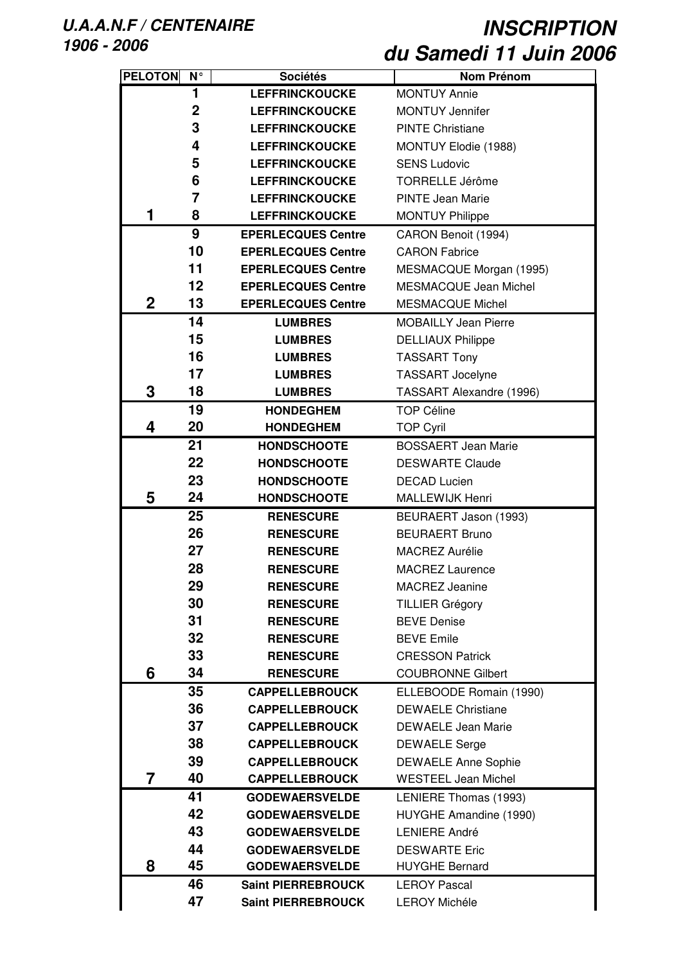| <b>PELOTON</b> | $\overline{\mathsf{N}^{\circ}}$ | <b>Sociétés</b>           | <b>Nom Prénom</b>            |
|----------------|---------------------------------|---------------------------|------------------------------|
|                | 1                               | <b>LEFFRINCKOUCKE</b>     | <b>MONTUY Annie</b>          |
|                | $\mathbf 2$                     | <b>LEFFRINCKOUCKE</b>     | <b>MONTUY Jennifer</b>       |
|                | 3                               | <b>LEFFRINCKOUCKE</b>     | <b>PINTE Christiane</b>      |
|                | 4                               | <b>LEFFRINCKOUCKE</b>     | MONTUY Elodie (1988)         |
|                | 5                               | <b>LEFFRINCKOUCKE</b>     | <b>SENS Ludovic</b>          |
|                | 6                               | <b>LEFFRINCKOUCKE</b>     | <b>TORRELLE Jérôme</b>       |
|                | 7                               | <b>LEFFRINCKOUCKE</b>     | <b>PINTE Jean Marie</b>      |
| 1              | 8                               | <b>LEFFRINCKOUCKE</b>     | <b>MONTUY Philippe</b>       |
|                | 9                               | <b>EPERLECQUES Centre</b> | CARON Benoit (1994)          |
|                | 10                              | <b>EPERLECQUES Centre</b> | <b>CARON Fabrice</b>         |
|                | 11                              | <b>EPERLECQUES Centre</b> | MESMACQUE Morgan (1995)      |
|                | $12 \,$                         | <b>EPERLECQUES Centre</b> | <b>MESMACQUE Jean Michel</b> |
| $\mathbf 2$    | 13                              | <b>EPERLECQUES Centre</b> | <b>MESMACQUE Michel</b>      |
|                | 14                              | <b>LUMBRES</b>            | <b>MOBAILLY Jean Pierre</b>  |
|                | 15                              | <b>LUMBRES</b>            | <b>DELLIAUX Philippe</b>     |
|                | 16                              | <b>LUMBRES</b>            | <b>TASSART Tony</b>          |
|                | 17                              | <b>LUMBRES</b>            | <b>TASSART Jocelyne</b>      |
| 3              | 18                              | <b>LUMBRES</b>            | TASSART Alexandre (1996)     |
|                | 19                              | <b>HONDEGHEM</b>          | <b>TOP Céline</b>            |
| 4              | 20                              | <b>HONDEGHEM</b>          | <b>TOP Cyril</b>             |
|                | 21                              | <b>HONDSCHOOTE</b>        | <b>BOSSAERT Jean Marie</b>   |
|                | 22                              | <b>HONDSCHOOTE</b>        | <b>DESWARTE Claude</b>       |
|                | 23                              | <b>HONDSCHOOTE</b>        | <b>DECAD Lucien</b>          |
| 5              | 24                              | <b>HONDSCHOOTE</b>        | <b>MALLEWIJK Henri</b>       |
|                | 25                              | <b>RENESCURE</b>          | BEURAERT Jason (1993)        |
|                | 26                              | <b>RENESCURE</b>          | <b>BEURAERT Bruno</b>        |
|                | 27                              | <b>RENESCURE</b>          | <b>MACREZ Aurélie</b>        |
|                | 28                              | <b>RENESCURE</b>          | <b>MACREZ Laurence</b>       |
|                | 29                              | <b>RENESCURE</b>          | MACREZ Jeanine               |
|                | 30                              | <b>RENESCURE</b>          | <b>TILLIER Grégory</b>       |
|                | 31                              | <b>RENESCURE</b>          | <b>BEVE Denise</b>           |
|                | 32                              | <b>RENESCURE</b>          | <b>BEVE Emile</b>            |
|                | 33                              | <b>RENESCURE</b>          | <b>CRESSON Patrick</b>       |
| 6              | 34                              | <b>RENESCURE</b>          | <b>COUBRONNE Gilbert</b>     |
|                | 35                              | <b>CAPPELLEBROUCK</b>     | ELLEBOODE Romain (1990)      |
|                | 36                              | <b>CAPPELLEBROUCK</b>     | <b>DEWAELE Christiane</b>    |
|                | 37                              | <b>CAPPELLEBROUCK</b>     | <b>DEWAELE Jean Marie</b>    |
|                | 38                              | <b>CAPPELLEBROUCK</b>     | <b>DEWAELE Serge</b>         |
|                | 39                              | <b>CAPPELLEBROUCK</b>     | <b>DEWAELE Anne Sophie</b>   |
| 7              | 40                              | <b>CAPPELLEBROUCK</b>     | <b>WESTEEL Jean Michel</b>   |
|                | 41                              | <b>GODEWAERSVELDE</b>     | LENIERE Thomas (1993)        |
|                | 42                              | <b>GODEWAERSVELDE</b>     | HUYGHE Amandine (1990)       |
|                | 43                              | <b>GODEWAERSVELDE</b>     | <b>LENIERE André</b>         |
|                | 44                              | <b>GODEWAERSVELDE</b>     | <b>DESWARTE Eric</b>         |
| 8              | 45                              | <b>GODEWAERSVELDE</b>     | <b>HUYGHE Bernard</b>        |
|                | 46                              | <b>Saint PIERREBROUCK</b> | <b>LEROY Pascal</b>          |
|                | 47                              | <b>Saint PIERREBROUCK</b> | <b>LEROY Michéle</b>         |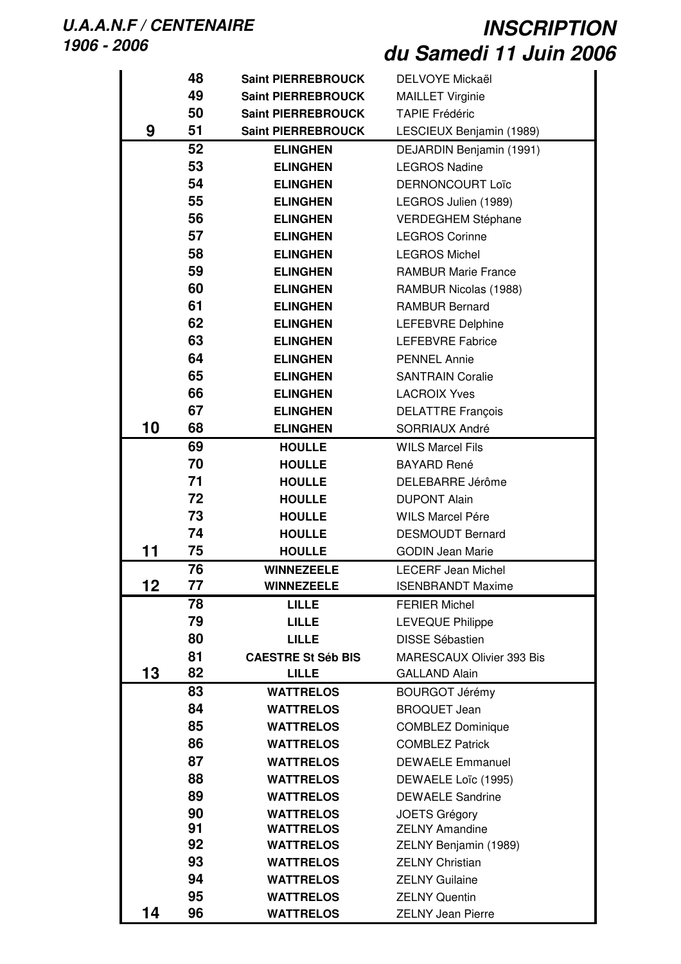|    | 48       | <b>Saint PIERREBROUCK</b>              | DELVOYE Mickaël                  |
|----|----------|----------------------------------------|----------------------------------|
|    | 49       | <b>Saint PIERREBROUCK</b>              |                                  |
|    | 50       |                                        | <b>MAILLET Virginie</b>          |
|    |          | <b>Saint PIERREBROUCK</b>              | <b>TAPIE Frédéric</b>            |
| 9  | 51       | <b>Saint PIERREBROUCK</b>              | LESCIEUX Benjamin (1989)         |
|    | 52       | <b>ELINGHEN</b>                        | DEJARDIN Benjamin (1991)         |
|    | 53       | <b>ELINGHEN</b>                        | <b>LEGROS Nadine</b>             |
|    | 54       | <b>ELINGHEN</b>                        | DERNONCOURT Loïc                 |
|    | 55       | <b>ELINGHEN</b>                        | LEGROS Julien (1989)             |
|    | 56       | <b>ELINGHEN</b>                        | <b>VERDEGHEM Stéphane</b>        |
|    | 57       | <b>ELINGHEN</b>                        | <b>LEGROS Corinne</b>            |
|    | 58       | <b>ELINGHEN</b>                        | <b>LEGROS Michel</b>             |
|    | 59       | <b>ELINGHEN</b>                        | <b>RAMBUR Marie France</b>       |
|    | 60       | <b>ELINGHEN</b>                        | RAMBUR Nicolas (1988)            |
|    | 61       | <b>ELINGHEN</b>                        | <b>RAMBUR Bernard</b>            |
|    | 62       | <b>ELINGHEN</b>                        | <b>LEFEBVRE Delphine</b>         |
|    | 63       | <b>ELINGHEN</b>                        | <b>LEFEBVRE Fabrice</b>          |
|    | 64       | <b>ELINGHEN</b>                        | <b>PENNEL Annie</b>              |
|    | 65       | <b>ELINGHEN</b>                        | <b>SANTRAIN Coralie</b>          |
|    | 66       | <b>ELINGHEN</b>                        | <b>LACROIX Yves</b>              |
|    | 67       | <b>ELINGHEN</b>                        | <b>DELATTRE François</b>         |
| 10 | 68       | <b>ELINGHEN</b>                        | SORRIAUX André                   |
|    | 69       | <b>HOULLE</b>                          | <b>WILS Marcel Fils</b>          |
|    | 70       | <b>HOULLE</b>                          | <b>BAYARD René</b>               |
|    | 71       | <b>HOULLE</b>                          | DELEBARRE Jérôme                 |
|    | 72       | <b>HOULLE</b>                          | <b>DUPONT Alain</b>              |
|    | 73       | <b>HOULLE</b>                          | WILS Marcel Pére                 |
|    | 74       | <b>HOULLE</b>                          | <b>DESMOUDT Bernard</b>          |
| 11 | 75       | <b>HOULLE</b>                          | <b>GODIN Jean Marie</b>          |
|    |          |                                        |                                  |
| 12 | 76<br>77 | <b>WINNEZEELE</b><br><b>WINNEZEELE</b> | <b>LECERF Jean Michel</b>        |
|    |          |                                        | <b>ISENBRANDT Maxime</b>         |
|    | 78       | <b>LILLE</b>                           | <b>FERIER Michel</b>             |
|    | 79       | <b>LILLE</b>                           | <b>LEVEQUE Philippe</b>          |
|    | 80       | <b>LILLE</b>                           | <b>DISSE Sébastien</b>           |
|    | 81       | <b>CAESTRE St Séb BIS</b>              | <b>MARESCAUX Olivier 393 Bis</b> |
| 13 | 82       | <b>LILLE</b>                           | <b>GALLAND Alain</b>             |
|    | 83       | <b>WATTRELOS</b>                       | <b>BOURGOT Jérémy</b>            |
|    | 84       | <b>WATTRELOS</b>                       | <b>BROQUET Jean</b>              |
|    | 85       | <b>WATTRELOS</b>                       | <b>COMBLEZ Dominique</b>         |
|    | 86       | <b>WATTRELOS</b>                       | <b>COMBLEZ Patrick</b>           |
|    | 87       | <b>WATTRELOS</b>                       | <b>DEWAELE Emmanuel</b>          |
|    | 88       | <b>WATTRELOS</b>                       | DEWAELE Loïc (1995)              |
|    | 89       | <b>WATTRELOS</b>                       | <b>DEWAELE Sandrine</b>          |
|    | 90       | <b>WATTRELOS</b>                       | <b>JOETS Grégory</b>             |
|    | 91       | <b>WATTRELOS</b>                       | <b>ZELNY Amandine</b>            |
|    | 92       | <b>WATTRELOS</b>                       | ZELNY Benjamin (1989)            |
|    | 93       | <b>WATTRELOS</b>                       | <b>ZELNY Christian</b>           |
|    | 94       | <b>WATTRELOS</b>                       | <b>ZELNY Guilaine</b>            |
|    | 95       | <b>WATTRELOS</b>                       | <b>ZELNY Quentin</b>             |
| 14 | 96       | <b>WATTRELOS</b>                       | <b>ZELNY Jean Pierre</b>         |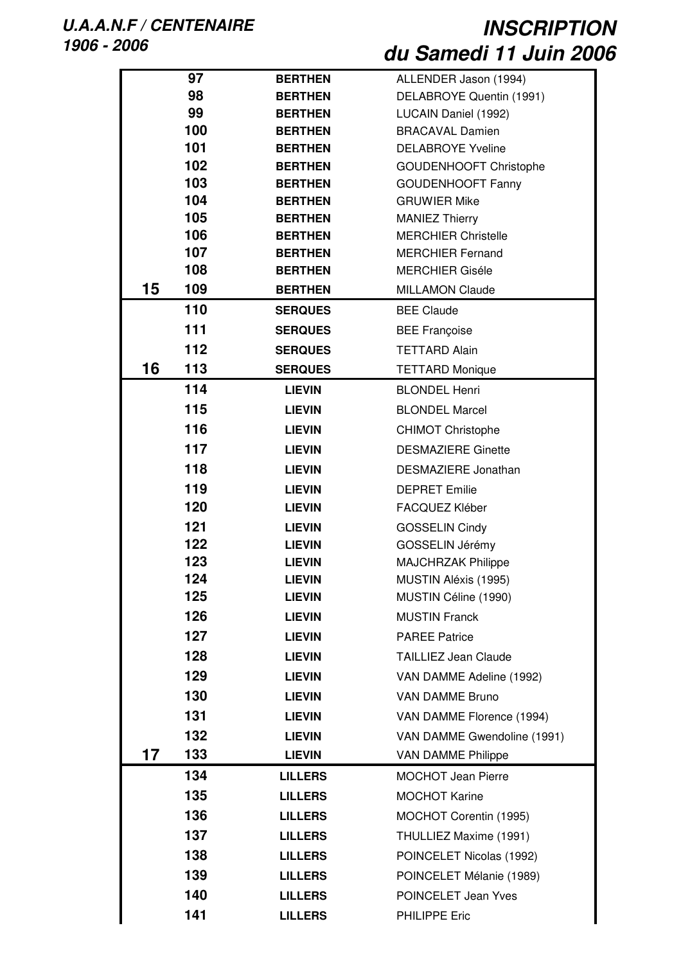|    | 97  | <b>BERTHEN</b> | ALLENDER Jason (1994)         |
|----|-----|----------------|-------------------------------|
|    | 98  | <b>BERTHEN</b> | DELABROYE Quentin (1991)      |
|    | 99  | <b>BERTHEN</b> | LUCAIN Daniel (1992)          |
|    | 100 | <b>BERTHEN</b> | <b>BRACAVAL Damien</b>        |
|    | 101 | <b>BERTHEN</b> | <b>DELABROYE Yveline</b>      |
|    | 102 | <b>BERTHEN</b> | <b>GOUDENHOOFT Christophe</b> |
|    | 103 | <b>BERTHEN</b> | <b>GOUDENHOOFT Fanny</b>      |
|    | 104 | <b>BERTHEN</b> | <b>GRUWIER Mike</b>           |
|    | 105 | <b>BERTHEN</b> | <b>MANIEZ Thierry</b>         |
|    | 106 | <b>BERTHEN</b> | <b>MERCHIER Christelle</b>    |
|    | 107 | <b>BERTHEN</b> | <b>MERCHIER Fernand</b>       |
|    | 108 | <b>BERTHEN</b> | <b>MERCHIER Giséle</b>        |
| 15 | 109 | <b>BERTHEN</b> | <b>MILLAMON Claude</b>        |
|    | 110 | <b>SERQUES</b> | <b>BEE Claude</b>             |
|    | 111 | <b>SERQUES</b> | <b>BEE Françoise</b>          |
|    | 112 | <b>SERQUES</b> | <b>TETTARD Alain</b>          |
| 16 | 113 | <b>SERQUES</b> | <b>TETTARD Monique</b>        |
|    | 114 | <b>LIEVIN</b>  | <b>BLONDEL Henri</b>          |
|    | 115 | <b>LIEVIN</b>  | <b>BLONDEL Marcel</b>         |
|    | 116 | <b>LIEVIN</b>  | <b>CHIMOT Christophe</b>      |
|    | 117 | <b>LIEVIN</b>  | <b>DESMAZIERE Ginette</b>     |
|    | 118 | <b>LIEVIN</b>  | DESMAZIERE Jonathan           |
|    | 119 | <b>LIEVIN</b>  | <b>DEPRET Emilie</b>          |
|    | 120 | <b>LIEVIN</b>  | FACQUEZ Kléber                |
|    | 121 | <b>LIEVIN</b>  | <b>GOSSELIN Cindy</b>         |
|    | 122 | <b>LIEVIN</b>  | GOSSELIN Jérémy               |
|    | 123 | <b>LIEVIN</b>  | <b>MAJCHRZAK Philippe</b>     |
|    | 124 | <b>LIEVIN</b>  | MUSTIN Aléxis (1995)          |
|    | 125 | <b>LIEVIN</b>  | MUSTIN Céline (1990)          |
|    | 126 | <b>LIEVIN</b>  | <b>MUSTIN Franck</b>          |
|    | 127 | <b>LIEVIN</b>  | <b>PAREE Patrice</b>          |
|    | 128 | <b>LIEVIN</b>  | <b>TAILLIEZ Jean Claude</b>   |
|    | 129 | <b>LIEVIN</b>  | VAN DAMME Adeline (1992)      |
|    | 130 | <b>LIEVIN</b>  | VAN DAMME Bruno               |
|    | 131 | <b>LIEVIN</b>  | VAN DAMME Florence (1994)     |
|    | 132 | <b>LIEVIN</b>  | VAN DAMME Gwendoline (1991)   |
| 17 | 133 | <b>LIEVIN</b>  | VAN DAMME Philippe            |
|    | 134 | <b>LILLERS</b> | <b>MOCHOT Jean Pierre</b>     |
|    | 135 | <b>LILLERS</b> | <b>MOCHOT Karine</b>          |
|    | 136 | <b>LILLERS</b> | MOCHOT Corentin (1995)        |
|    | 137 | <b>LILLERS</b> | THULLIEZ Maxime (1991)        |
|    | 138 | <b>LILLERS</b> | POINCELET Nicolas (1992)      |
|    | 139 | <b>LILLERS</b> | POINCELET Mélanie (1989)      |
|    | 140 | <b>LILLERS</b> | POINCELET Jean Yves           |
|    | 141 | <b>LILLERS</b> | <b>PHILIPPE Eric</b>          |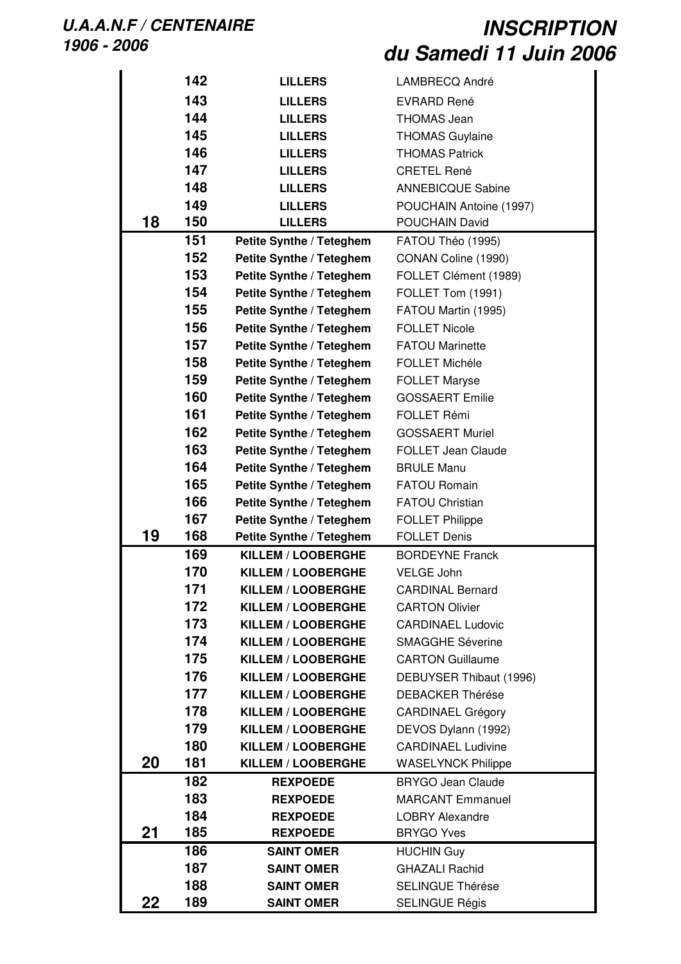|    | 142 | <b>LILLERS</b>            | LAMBRECQ André            |
|----|-----|---------------------------|---------------------------|
|    | 143 | <b>LILLERS</b>            | <b>EVRARD René</b>        |
|    | 144 | <b>LILLERS</b>            | <b>THOMAS Jean</b>        |
|    | 145 | <b>LILLERS</b>            | <b>THOMAS Guylaine</b>    |
|    | 146 | <b>LILLERS</b>            | <b>THOMAS Patrick</b>     |
|    | 147 | <b>LILLERS</b>            | <b>CRETEL René</b>        |
|    | 148 | <b>LILLERS</b>            | <b>ANNEBICQUE Sabine</b>  |
|    | 149 | <b>LILLERS</b>            | POUCHAIN Antoine (1997)   |
| 18 | 150 | <b>LILLERS</b>            | POUCHAIN David            |
|    | 151 | Petite Synthe / Teteghem  | FATOU Théo (1995)         |
|    | 152 | Petite Synthe / Teteghem  | CONAN Coline (1990)       |
|    | 153 | Petite Synthe / Teteghem  | FOLLET Clément (1989)     |
|    | 154 | Petite Synthe / Teteghem  | FOLLET Tom (1991)         |
|    | 155 | Petite Synthe / Teteghem  | FATOU Martin (1995)       |
|    | 156 |                           | <b>FOLLET Nicole</b>      |
|    |     | Petite Synthe / Teteghem  |                           |
|    | 157 | Petite Synthe / Teteghem  | <b>FATOU Marinette</b>    |
|    | 158 | Petite Synthe / Teteghem  | <b>FOLLET Michéle</b>     |
|    | 159 | Petite Synthe / Teteghem  | <b>FOLLET Maryse</b>      |
|    | 160 | Petite Synthe / Teteghem  | <b>GOSSAERT Emilie</b>    |
|    | 161 | Petite Synthe / Teteghem  | FOLLET Rémi               |
|    | 162 | Petite Synthe / Teteghem  | <b>GOSSAERT Muriel</b>    |
|    | 163 | Petite Synthe / Teteghem  | <b>FOLLET Jean Claude</b> |
|    | 164 | Petite Synthe / Teteghem  | <b>BRULE Manu</b>         |
|    | 165 | Petite Synthe / Teteghem  | <b>FATOU Romain</b>       |
|    | 166 | Petite Synthe / Teteghem  | <b>FATOU Christian</b>    |
|    | 167 | Petite Synthe / Teteghem  | <b>FOLLET Philippe</b>    |
| 19 | 168 | Petite Synthe / Teteghem  | <b>FOLLET Denis</b>       |
|    | 169 | <b>KILLEM / LOOBERGHE</b> | <b>BORDEYNE Franck</b>    |
|    | 170 | <b>KILLEM / LOOBERGHE</b> | <b>VELGE John</b>         |
|    | 171 | <b>KILLEM / LOOBERGHE</b> | <b>CARDINAL Bernard</b>   |
|    | 172 | <b>KILLEM / LOOBERGHE</b> | <b>CARTON Olivier</b>     |
|    | 173 | <b>KILLEM / LOOBERGHE</b> | <b>CARDINAEL Ludovic</b>  |
|    | 174 | <b>KILLEM / LOOBERGHE</b> | <b>SMAGGHE Séverine</b>   |
|    | 175 | KILLEM / LOOBERGHE        | <b>CARTON Guillaume</b>   |
|    | 176 | KILLEM / LOOBERGHE        | DEBUYSER Thibaut (1996)   |
|    | 177 | <b>KILLEM / LOOBERGHE</b> | <b>DEBACKER Thérése</b>   |
|    | 178 | <b>KILLEM / LOOBERGHE</b> | <b>CARDINAEL Grégory</b>  |
|    | 179 | KILLEM / LOOBERGHE        | DEVOS Dylann (1992)       |
|    | 180 | <b>KILLEM / LOOBERGHE</b> | <b>CARDINAEL Ludivine</b> |
| 20 | 181 | KILLEM / LOOBERGHE        | <b>WASELYNCK Philippe</b> |
|    | 182 | <b>REXPOEDE</b>           | <b>BRYGO Jean Claude</b>  |
|    | 183 | <b>REXPOEDE</b>           | <b>MARCANT Emmanuel</b>   |
|    | 184 | <b>REXPOEDE</b>           | <b>LOBRY Alexandre</b>    |
| 21 | 185 | <b>REXPOEDE</b>           | <b>BRYGO Yves</b>         |
|    | 186 | <b>SAINT OMER</b>         | <b>HUCHIN Guy</b>         |
|    | 187 | <b>SAINT OMER</b>         | <b>GHAZALI Rachid</b>     |
|    | 188 | <b>SAINT OMER</b>         | <b>SELINGUE Thérése</b>   |
| 22 | 189 | <b>SAINT OMER</b>         | <b>SELINGUE Régis</b>     |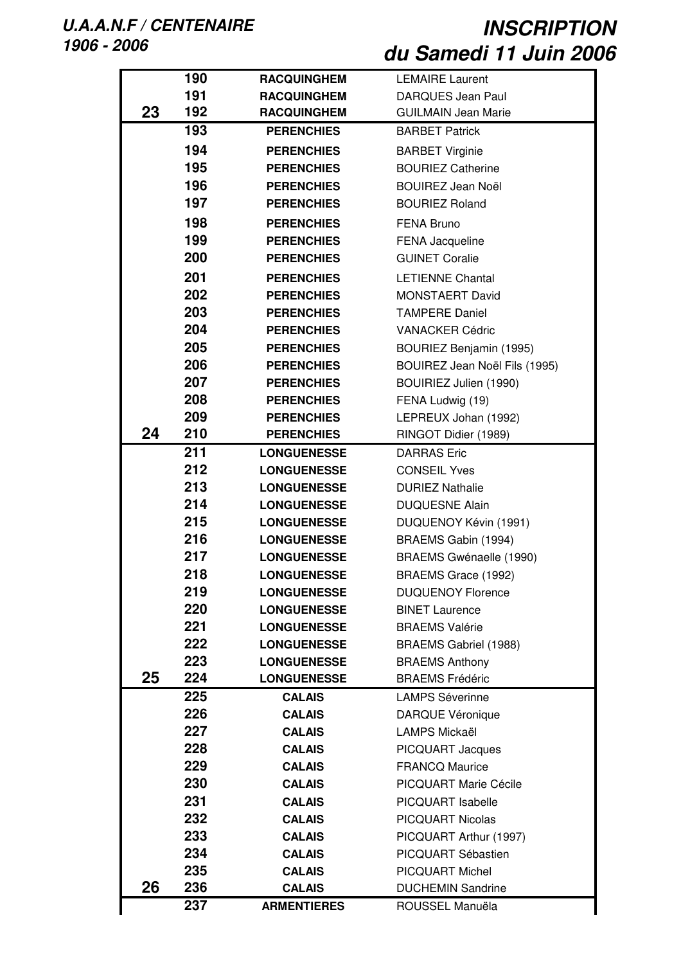|    | 190 | <b>RACQUINGHEM</b> | <b>LEMAIRE Laurent</b>        |
|----|-----|--------------------|-------------------------------|
|    | 191 | <b>RACQUINGHEM</b> | <b>DARQUES Jean Paul</b>      |
| 23 | 192 | <b>RACQUINGHEM</b> | <b>GUILMAIN Jean Marie</b>    |
|    | 193 | <b>PERENCHIES</b>  | <b>BARBET Patrick</b>         |
|    | 194 | <b>PERENCHIES</b>  | <b>BARBET Virginie</b>        |
|    | 195 | <b>PERENCHIES</b>  | <b>BOURIEZ Catherine</b>      |
|    | 196 | <b>PERENCHIES</b>  | <b>BOUIREZ Jean Noël</b>      |
|    | 197 | <b>PERENCHIES</b>  | <b>BOURIEZ Roland</b>         |
|    | 198 | <b>PERENCHIES</b>  | <b>FENA Bruno</b>             |
|    | 199 | <b>PERENCHIES</b>  | FENA Jacqueline               |
|    | 200 | <b>PERENCHIES</b>  | <b>GUINET Coralie</b>         |
|    |     |                    |                               |
|    | 201 | <b>PERENCHIES</b>  | <b>LETIENNE Chantal</b>       |
|    | 202 | <b>PERENCHIES</b>  | <b>MONSTAERT David</b>        |
|    | 203 | <b>PERENCHIES</b>  | <b>TAMPERE Daniel</b>         |
|    | 204 | <b>PERENCHIES</b>  | <b>VANACKER Cédric</b>        |
|    | 205 | <b>PERENCHIES</b>  | BOURIEZ Benjamin (1995)       |
|    | 206 | <b>PERENCHIES</b>  | BOUIREZ Jean Noël Fils (1995) |
|    | 207 | <b>PERENCHIES</b>  | BOUIRIEZ Julien (1990)        |
|    | 208 | <b>PERENCHIES</b>  | FENA Ludwig (19)              |
|    | 209 | <b>PERENCHIES</b>  | LEPREUX Johan (1992)          |
| 24 | 210 | <b>PERENCHIES</b>  | RINGOT Didier (1989)          |
|    | 211 | <b>LONGUENESSE</b> | <b>DARRAS</b> Eric            |
|    | 212 | <b>LONGUENESSE</b> | <b>CONSEIL Yves</b>           |
|    | 213 | <b>LONGUENESSE</b> | <b>DURIEZ Nathalie</b>        |
|    | 214 | <b>LONGUENESSE</b> | <b>DUQUESNE Alain</b>         |
|    | 215 | <b>LONGUENESSE</b> | DUQUENOY Kévin (1991)         |
|    | 216 | <b>LONGUENESSE</b> | BRAEMS Gabin (1994)           |
|    | 217 | <b>LONGUENESSE</b> | BRAEMS Gwénaelle (1990)       |
|    | 218 | <b>LONGUENESSE</b> | BRAEMS Grace (1992)           |
|    | 219 | <b>LONGUENESSE</b> | <b>DUQUENOY Florence</b>      |
|    | 220 | <b>LONGUENESSE</b> | <b>BINET Laurence</b>         |
|    | 221 | <b>LONGUENESSE</b> | <b>BRAEMS Valérie</b>         |
|    | 222 | <b>LONGUENESSE</b> | BRAEMS Gabriel (1988)         |
|    | 223 | <b>LONGUENESSE</b> | <b>BRAEMS Anthony</b>         |
| 25 | 224 | <b>LONGUENESSE</b> | <b>BRAEMS Frédéric</b>        |
|    | 225 | <b>CALAIS</b>      | <b>LAMPS Séverinne</b>        |
|    | 226 | <b>CALAIS</b>      | <b>DARQUE Véronique</b>       |
|    | 227 | <b>CALAIS</b>      | <b>LAMPS Mickaël</b>          |
|    | 228 | <b>CALAIS</b>      | PICQUART Jacques              |
|    | 229 | <b>CALAIS</b>      | <b>FRANCQ Maurice</b>         |
|    | 230 | <b>CALAIS</b>      | PICQUART Marie Cécile         |
|    | 231 | <b>CALAIS</b>      | PICQUART Isabelle             |
|    | 232 | <b>CALAIS</b>      | <b>PICQUART Nicolas</b>       |
|    | 233 | <b>CALAIS</b>      | PICQUART Arthur (1997)        |
|    | 234 |                    |                               |
|    | 235 | <b>CALAIS</b>      | PICQUART Sébastien            |
| 26 | 236 | <b>CALAIS</b>      | <b>PICQUART Michel</b>        |
|    |     | <b>CALAIS</b>      | <b>DUCHEMIN Sandrine</b>      |
|    | 237 | <b>ARMENTIERES</b> | ROUSSEL Manuëla               |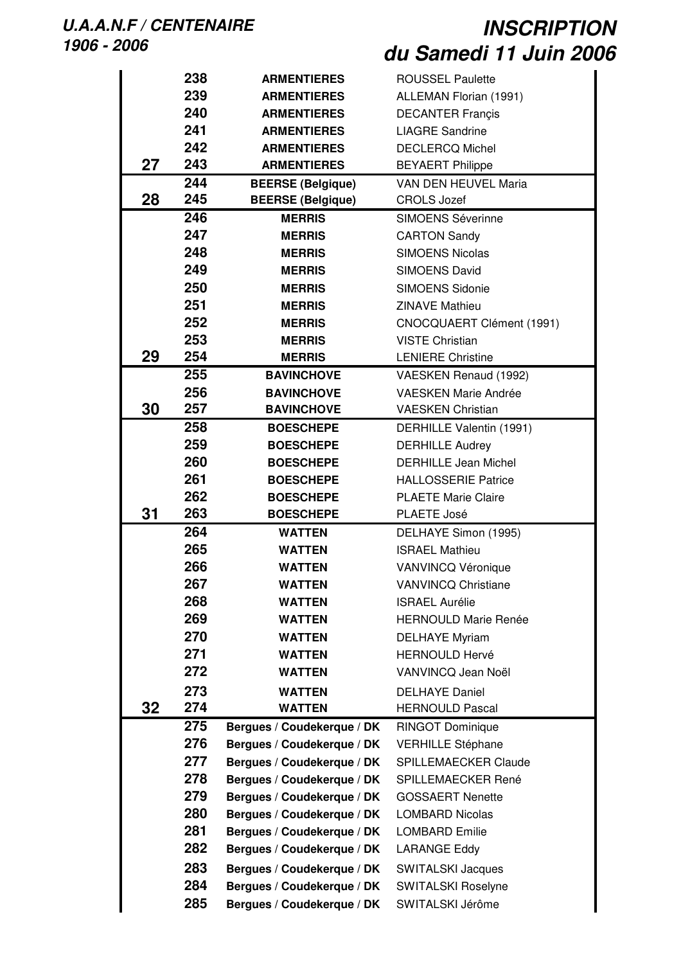|    | 238 | <b>ARMENTIERES</b>         | <b>ROUSSEL Paulette</b>     |
|----|-----|----------------------------|-----------------------------|
|    | 239 | <b>ARMENTIERES</b>         | ALLEMAN Florian (1991)      |
|    | 240 | <b>ARMENTIERES</b>         | <b>DECANTER Francis</b>     |
|    | 241 | <b>ARMENTIERES</b>         | <b>LIAGRE Sandrine</b>      |
|    | 242 | <b>ARMENTIERES</b>         | <b>DECLERCQ Michel</b>      |
| 27 | 243 | <b>ARMENTIERES</b>         | <b>BEYAERT Philippe</b>     |
|    | 244 | <b>BEERSE (Belgique)</b>   | <b>VAN DEN HEUVEL Maria</b> |
| 28 | 245 | <b>BEERSE (Belgique)</b>   | <b>CROLS Jozef</b>          |
|    | 246 | <b>MERRIS</b>              | <b>SIMOENS Séverinne</b>    |
|    |     |                            |                             |
|    | 247 | <b>MERRIS</b>              | <b>CARTON Sandy</b>         |
|    | 248 | <b>MERRIS</b>              | <b>SIMOENS Nicolas</b>      |
|    | 249 | <b>MERRIS</b>              | <b>SIMOENS David</b>        |
|    | 250 | <b>MERRIS</b>              | <b>SIMOENS Sidonie</b>      |
|    | 251 | <b>MERRIS</b>              | <b>ZINAVE Mathieu</b>       |
|    | 252 | <b>MERRIS</b>              | CNOCQUAERT Clément (1991)   |
|    | 253 | <b>MERRIS</b>              | <b>VISTE Christian</b>      |
| 29 | 254 | <b>MERRIS</b>              | <b>LENIERE Christine</b>    |
|    | 255 | <b>BAVINCHOVE</b>          | VAESKEN Renaud (1992)       |
|    | 256 | <b>BAVINCHOVE</b>          | <b>VAESKEN Marie Andrée</b> |
| 30 | 257 | <b>BAVINCHOVE</b>          | <b>VAESKEN Christian</b>    |
|    | 258 | <b>BOESCHEPE</b>           | DERHILLE Valentin (1991)    |
|    | 259 | <b>BOESCHEPE</b>           | <b>DERHILLE Audrey</b>      |
|    | 260 | <b>BOESCHEPE</b>           | <b>DERHILLE Jean Michel</b> |
|    | 261 | <b>BOESCHEPE</b>           | <b>HALLOSSERIE Patrice</b>  |
|    | 262 | <b>BOESCHEPE</b>           | <b>PLAETE Marie Claire</b>  |
| 31 | 263 | <b>BOESCHEPE</b>           | PLAETE José                 |
|    | 264 |                            |                             |
|    | 265 | <b>WATTEN</b>              | DELHAYE Simon (1995)        |
|    |     | <b>WATTEN</b>              | <b>ISRAEL Mathieu</b>       |
|    | 266 | <b>WATTEN</b>              | VANVINCQ Véronique          |
|    | 267 | WATTEN                     | <b>VANVINCQ Christiane</b>  |
|    | 268 | <b>WATTEN</b>              | <b>ISRAEL Aurélie</b>       |
|    | 269 | <b>WATTEN</b>              | <b>HERNOULD Marie Renée</b> |
|    | 270 | <b>WATTEN</b>              | <b>DELHAYE Myriam</b>       |
|    | 271 | <b>WATTEN</b>              | <b>HERNOULD Hervé</b>       |
|    | 272 | <b>WATTEN</b>              | VANVINCQ Jean Noël          |
|    | 273 | <b>WATTEN</b>              | <b>DELHAYE Daniel</b>       |
| 32 | 274 | <b>WATTEN</b>              | <b>HERNOULD Pascal</b>      |
|    | 275 | Bergues / Coudekerque / DK | <b>RINGOT Dominique</b>     |
|    | 276 | Bergues / Coudekerque / DK | <b>VERHILLE Stéphane</b>    |
|    | 277 | Bergues / Coudekerque / DK | <b>SPILLEMAECKER Claude</b> |
|    | 278 | Bergues / Coudekerque / DK | SPILLEMAECKER René          |
|    | 279 | Bergues / Coudekerque / DK | <b>GOSSAERT Nenette</b>     |
|    | 280 | Bergues / Coudekerque / DK | <b>LOMBARD Nicolas</b>      |
|    | 281 | Bergues / Coudekerque / DK | <b>LOMBARD Emilie</b>       |
|    | 282 |                            |                             |
|    |     | Bergues / Coudekerque / DK | <b>LARANGE Eddy</b>         |
|    | 283 | Bergues / Coudekerque / DK | <b>SWITALSKI Jacques</b>    |
|    | 284 | Bergues / Coudekerque / DK | <b>SWITALSKI Roselyne</b>   |
|    | 285 | Bergues / Coudekerque / DK | SWITALSKI Jérôme            |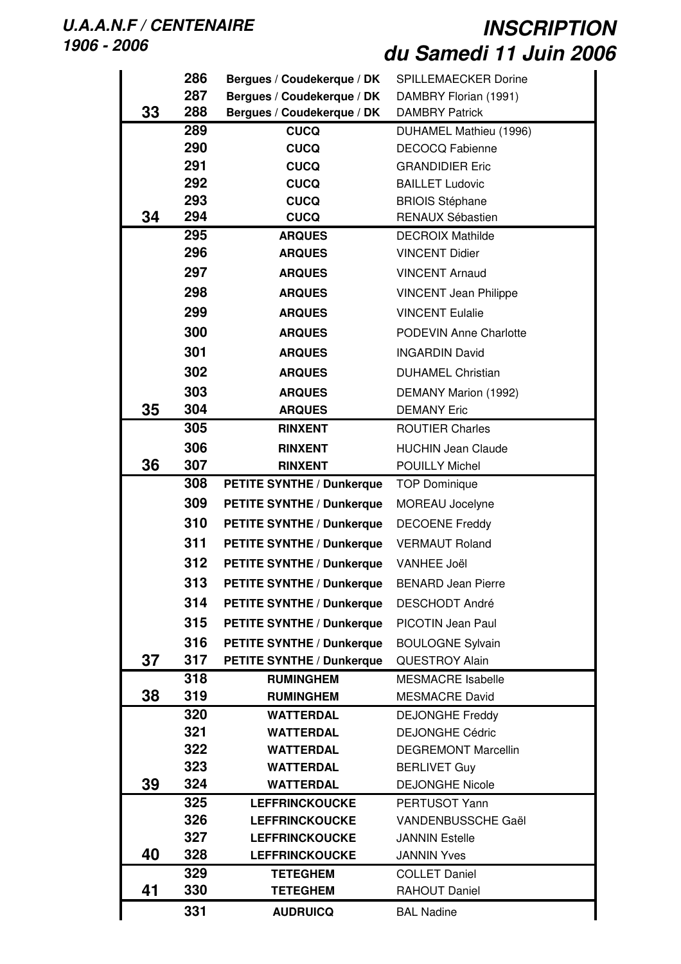|    | 286 | Bergues / Coudekerque / DK       | <b>SPILLEMAECKER Dorine</b>   |
|----|-----|----------------------------------|-------------------------------|
|    | 287 | Bergues / Coudekerque / DK       | DAMBRY Florian (1991)         |
| 33 | 288 | Bergues / Coudekerque / DK       | <b>DAMBRY Patrick</b>         |
|    | 289 | <b>CUCQ</b>                      | DUHAMEL Mathieu (1996)        |
|    | 290 | <b>CUCQ</b>                      | <b>DECOCQ Fabienne</b>        |
|    | 291 | <b>CUCQ</b>                      | <b>GRANDIDIER Eric</b>        |
|    | 292 | <b>CUCQ</b>                      | <b>BAILLET Ludovic</b>        |
|    | 293 | <b>CUCQ</b>                      | <b>BRIOIS Stéphane</b>        |
| 34 | 294 | <b>CUCQ</b>                      | <b>RENAUX Sébastien</b>       |
|    | 295 | <b>ARQUES</b>                    | <b>DECROIX Mathilde</b>       |
|    | 296 | <b>ARQUES</b>                    | <b>VINCENT Didier</b>         |
|    | 297 | <b>ARQUES</b>                    | <b>VINCENT Arnaud</b>         |
|    | 298 | <b>ARQUES</b>                    | <b>VINCENT Jean Philippe</b>  |
|    | 299 | <b>ARQUES</b>                    | <b>VINCENT Eulalie</b>        |
|    | 300 | <b>ARQUES</b>                    | <b>PODEVIN Anne Charlotte</b> |
|    | 301 | <b>ARQUES</b>                    | <b>INGARDIN David</b>         |
|    | 302 | <b>ARQUES</b>                    | <b>DUHAMEL Christian</b>      |
|    | 303 | <b>ARQUES</b>                    | DEMANY Marion (1992)          |
| 35 | 304 | <b>ARQUES</b>                    | <b>DEMANY Eric</b>            |
|    | 305 | <b>RINXENT</b>                   | <b>ROUTIER Charles</b>        |
|    | 306 | <b>RINXENT</b>                   | <b>HUCHIN Jean Claude</b>     |
| 36 | 307 | <b>RINXENT</b>                   | <b>POUILLY Michel</b>         |
|    | 308 | <b>PETITE SYNTHE / Dunkerque</b> | <b>TOP Dominique</b>          |
|    | 309 | <b>PETITE SYNTHE / Dunkerque</b> | MOREAU Jocelyne               |
|    | 310 | <b>PETITE SYNTHE / Dunkerque</b> | <b>DECOENE Freddy</b>         |
|    | 311 | <b>PETITE SYNTHE / Dunkerque</b> | <b>VERMAUT Roland</b>         |
|    | 312 | <b>PETITE SYNTHE / Dunkerque</b> | VANHEE Joël                   |
|    | 313 | <b>PETITE SYNTHE / Dunkerque</b> | <b>BENARD Jean Pierre</b>     |
|    | 314 | <b>PETITE SYNTHE / Dunkerque</b> | <b>DESCHODT André</b>         |
|    | 315 | <b>PETITE SYNTHE / Dunkerque</b> | PICOTIN Jean Paul             |
|    | 316 | <b>PETITE SYNTHE / Dunkerque</b> | <b>BOULOGNE Sylvain</b>       |
| 37 | 317 | <b>PETITE SYNTHE / Dunkerque</b> | <b>QUESTROY Alain</b>         |
|    | 318 | <b>RUMINGHEM</b>                 | <b>MESMACRE Isabelle</b>      |
| 38 | 319 | <b>RUMINGHEM</b>                 | <b>MESMACRE David</b>         |
|    | 320 | <b>WATTERDAL</b>                 | <b>DEJONGHE Freddy</b>        |
|    | 321 | <b>WATTERDAL</b>                 | <b>DEJONGHE Cédric</b>        |
|    | 322 | <b>WATTERDAL</b>                 | <b>DEGREMONT Marcellin</b>    |
|    | 323 | <b>WATTERDAL</b>                 | <b>BERLIVET Guy</b>           |
| 39 | 324 | <b>WATTERDAL</b>                 | <b>DEJONGHE Nicole</b>        |
|    | 325 | <b>LEFFRINCKOUCKE</b>            | PERTUSOT Yann                 |
|    | 326 | <b>LEFFRINCKOUCKE</b>            | VANDENBUSSCHE Gaël            |
|    | 327 | <b>LEFFRINCKOUCKE</b>            | <b>JANNIN Estelle</b>         |
| 40 | 328 | <b>LEFFRINCKOUCKE</b>            | <b>JANNIN Yves</b>            |
|    | 329 | <b>TETEGHEM</b>                  | <b>COLLET Daniel</b>          |
| 41 | 330 | <b>TETEGHEM</b>                  | RAHOUT Daniel                 |
|    | 331 | <b>AUDRUICQ</b>                  | <b>BAL Nadine</b>             |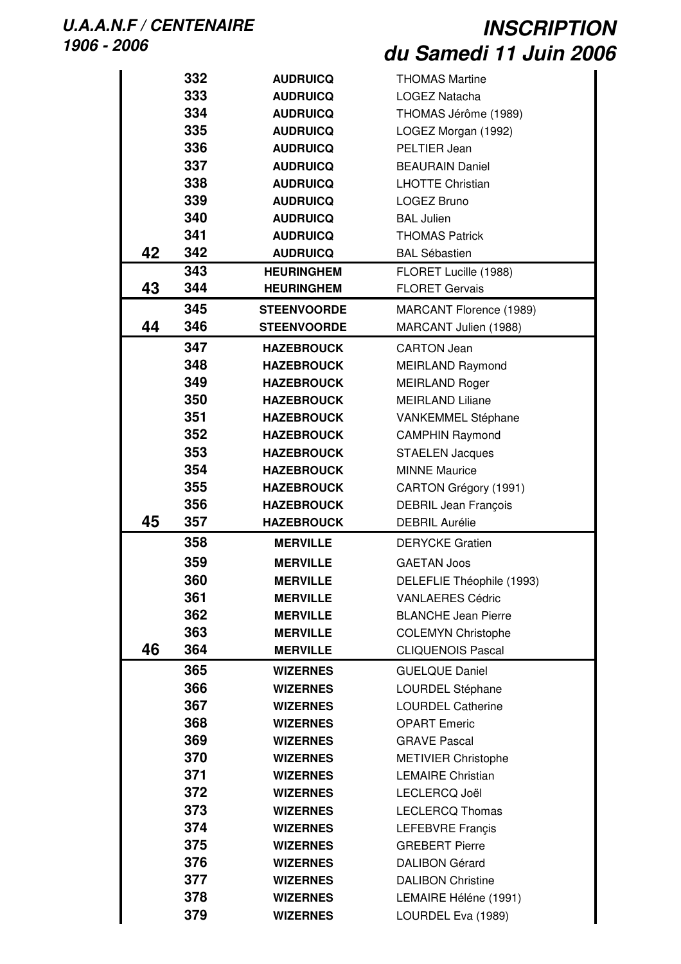| 332<br><b>AUDRUICQ</b><br><b>THOMAS Martine</b><br>333<br><b>AUDRUICQ</b><br><b>LOGEZ Natacha</b><br>334<br><b>AUDRUICQ</b><br>THOMAS Jérôme (1989)<br>335<br><b>AUDRUICQ</b><br>LOGEZ Morgan (1992)<br>336<br>PELTIER Jean<br><b>AUDRUICQ</b><br>337<br><b>AUDRUICQ</b><br><b>BEAURAIN Daniel</b><br>338<br><b>AUDRUICQ</b><br><b>LHOTTE Christian</b><br>339<br><b>AUDRUICQ</b><br>LOGEZ Bruno<br>340<br><b>AUDRUICQ</b><br><b>BAL Julien</b><br>341<br><b>AUDRUICQ</b><br><b>THOMAS Patrick</b><br>42<br>342<br><b>AUDRUICQ</b><br><b>BAL Sébastien</b><br>343<br><b>HEURINGHEM</b><br>FLORET Lucille (1988)<br>43<br>344<br><b>FLORET Gervais</b><br><b>HEURINGHEM</b><br>345<br><b>STEENVOORDE</b><br>MARCANT Florence (1989)<br>44<br>346<br><b>STEENVOORDE</b><br>MARCANT Julien (1988)<br>347<br><b>CARTON Jean</b><br><b>HAZEBROUCK</b><br>348<br><b>HAZEBROUCK</b><br>MEIRLAND Raymond<br>349<br><b>HAZEBROUCK</b><br><b>MEIRLAND Roger</b><br>350<br><b>HAZEBROUCK</b><br><b>MEIRLAND Liliane</b><br>351<br><b>HAZEBROUCK</b><br>VANKEMMEL Stéphane<br>352<br><b>HAZEBROUCK</b><br><b>CAMPHIN Raymond</b><br>353<br><b>HAZEBROUCK</b><br><b>STAELEN Jacques</b><br>354<br><b>MINNE Maurice</b><br><b>HAZEBROUCK</b><br>355<br><b>HAZEBROUCK</b><br>CARTON Grégory (1991)<br>356<br><b>HAZEBROUCK</b><br><b>DEBRIL Jean François</b><br>45<br>357<br><b>HAZEBROUCK</b><br><b>DEBRIL Aurélie</b><br>358<br><b>MERVILLE</b><br><b>DERYCKE Gratien</b><br>359<br><b>MERVILLE</b><br><b>GAETAN Joos</b><br>360<br><b>MERVILLE</b><br>DELEFLIE Théophile (1993)<br>361<br><b>MERVILLE</b><br><b>VANLAERES Cédric</b><br>362<br><b>MERVILLE</b><br><b>BLANCHE Jean Pierre</b><br>363<br><b>COLEMYN Christophe</b><br><b>MERVILLE</b><br>46<br>364<br><b>MERVILLE</b><br><b>CLIQUENOIS Pascal</b><br>365<br><b>WIZERNES</b><br><b>GUELQUE Daniel</b><br>366<br>LOURDEL Stéphane<br><b>WIZERNES</b><br>367<br><b>LOURDEL Catherine</b><br><b>WIZERNES</b><br>368 |
|--------------------------------------------------------------------------------------------------------------------------------------------------------------------------------------------------------------------------------------------------------------------------------------------------------------------------------------------------------------------------------------------------------------------------------------------------------------------------------------------------------------------------------------------------------------------------------------------------------------------------------------------------------------------------------------------------------------------------------------------------------------------------------------------------------------------------------------------------------------------------------------------------------------------------------------------------------------------------------------------------------------------------------------------------------------------------------------------------------------------------------------------------------------------------------------------------------------------------------------------------------------------------------------------------------------------------------------------------------------------------------------------------------------------------------------------------------------------------------------------------------------------------------------------------------------------------------------------------------------------------------------------------------------------------------------------------------------------------------------------------------------------------------------------------------------------------------------------------------------------------------------------------------------------------------------------------------------------|
|                                                                                                                                                                                                                                                                                                                                                                                                                                                                                                                                                                                                                                                                                                                                                                                                                                                                                                                                                                                                                                                                                                                                                                                                                                                                                                                                                                                                                                                                                                                                                                                                                                                                                                                                                                                                                                                                                                                                                                    |
|                                                                                                                                                                                                                                                                                                                                                                                                                                                                                                                                                                                                                                                                                                                                                                                                                                                                                                                                                                                                                                                                                                                                                                                                                                                                                                                                                                                                                                                                                                                                                                                                                                                                                                                                                                                                                                                                                                                                                                    |
|                                                                                                                                                                                                                                                                                                                                                                                                                                                                                                                                                                                                                                                                                                                                                                                                                                                                                                                                                                                                                                                                                                                                                                                                                                                                                                                                                                                                                                                                                                                                                                                                                                                                                                                                                                                                                                                                                                                                                                    |
|                                                                                                                                                                                                                                                                                                                                                                                                                                                                                                                                                                                                                                                                                                                                                                                                                                                                                                                                                                                                                                                                                                                                                                                                                                                                                                                                                                                                                                                                                                                                                                                                                                                                                                                                                                                                                                                                                                                                                                    |
|                                                                                                                                                                                                                                                                                                                                                                                                                                                                                                                                                                                                                                                                                                                                                                                                                                                                                                                                                                                                                                                                                                                                                                                                                                                                                                                                                                                                                                                                                                                                                                                                                                                                                                                                                                                                                                                                                                                                                                    |
|                                                                                                                                                                                                                                                                                                                                                                                                                                                                                                                                                                                                                                                                                                                                                                                                                                                                                                                                                                                                                                                                                                                                                                                                                                                                                                                                                                                                                                                                                                                                                                                                                                                                                                                                                                                                                                                                                                                                                                    |
|                                                                                                                                                                                                                                                                                                                                                                                                                                                                                                                                                                                                                                                                                                                                                                                                                                                                                                                                                                                                                                                                                                                                                                                                                                                                                                                                                                                                                                                                                                                                                                                                                                                                                                                                                                                                                                                                                                                                                                    |
|                                                                                                                                                                                                                                                                                                                                                                                                                                                                                                                                                                                                                                                                                                                                                                                                                                                                                                                                                                                                                                                                                                                                                                                                                                                                                                                                                                                                                                                                                                                                                                                                                                                                                                                                                                                                                                                                                                                                                                    |
|                                                                                                                                                                                                                                                                                                                                                                                                                                                                                                                                                                                                                                                                                                                                                                                                                                                                                                                                                                                                                                                                                                                                                                                                                                                                                                                                                                                                                                                                                                                                                                                                                                                                                                                                                                                                                                                                                                                                                                    |
|                                                                                                                                                                                                                                                                                                                                                                                                                                                                                                                                                                                                                                                                                                                                                                                                                                                                                                                                                                                                                                                                                                                                                                                                                                                                                                                                                                                                                                                                                                                                                                                                                                                                                                                                                                                                                                                                                                                                                                    |
|                                                                                                                                                                                                                                                                                                                                                                                                                                                                                                                                                                                                                                                                                                                                                                                                                                                                                                                                                                                                                                                                                                                                                                                                                                                                                                                                                                                                                                                                                                                                                                                                                                                                                                                                                                                                                                                                                                                                                                    |
|                                                                                                                                                                                                                                                                                                                                                                                                                                                                                                                                                                                                                                                                                                                                                                                                                                                                                                                                                                                                                                                                                                                                                                                                                                                                                                                                                                                                                                                                                                                                                                                                                                                                                                                                                                                                                                                                                                                                                                    |
|                                                                                                                                                                                                                                                                                                                                                                                                                                                                                                                                                                                                                                                                                                                                                                                                                                                                                                                                                                                                                                                                                                                                                                                                                                                                                                                                                                                                                                                                                                                                                                                                                                                                                                                                                                                                                                                                                                                                                                    |
|                                                                                                                                                                                                                                                                                                                                                                                                                                                                                                                                                                                                                                                                                                                                                                                                                                                                                                                                                                                                                                                                                                                                                                                                                                                                                                                                                                                                                                                                                                                                                                                                                                                                                                                                                                                                                                                                                                                                                                    |
|                                                                                                                                                                                                                                                                                                                                                                                                                                                                                                                                                                                                                                                                                                                                                                                                                                                                                                                                                                                                                                                                                                                                                                                                                                                                                                                                                                                                                                                                                                                                                                                                                                                                                                                                                                                                                                                                                                                                                                    |
|                                                                                                                                                                                                                                                                                                                                                                                                                                                                                                                                                                                                                                                                                                                                                                                                                                                                                                                                                                                                                                                                                                                                                                                                                                                                                                                                                                                                                                                                                                                                                                                                                                                                                                                                                                                                                                                                                                                                                                    |
|                                                                                                                                                                                                                                                                                                                                                                                                                                                                                                                                                                                                                                                                                                                                                                                                                                                                                                                                                                                                                                                                                                                                                                                                                                                                                                                                                                                                                                                                                                                                                                                                                                                                                                                                                                                                                                                                                                                                                                    |
|                                                                                                                                                                                                                                                                                                                                                                                                                                                                                                                                                                                                                                                                                                                                                                                                                                                                                                                                                                                                                                                                                                                                                                                                                                                                                                                                                                                                                                                                                                                                                                                                                                                                                                                                                                                                                                                                                                                                                                    |
|                                                                                                                                                                                                                                                                                                                                                                                                                                                                                                                                                                                                                                                                                                                                                                                                                                                                                                                                                                                                                                                                                                                                                                                                                                                                                                                                                                                                                                                                                                                                                                                                                                                                                                                                                                                                                                                                                                                                                                    |
|                                                                                                                                                                                                                                                                                                                                                                                                                                                                                                                                                                                                                                                                                                                                                                                                                                                                                                                                                                                                                                                                                                                                                                                                                                                                                                                                                                                                                                                                                                                                                                                                                                                                                                                                                                                                                                                                                                                                                                    |
|                                                                                                                                                                                                                                                                                                                                                                                                                                                                                                                                                                                                                                                                                                                                                                                                                                                                                                                                                                                                                                                                                                                                                                                                                                                                                                                                                                                                                                                                                                                                                                                                                                                                                                                                                                                                                                                                                                                                                                    |
|                                                                                                                                                                                                                                                                                                                                                                                                                                                                                                                                                                                                                                                                                                                                                                                                                                                                                                                                                                                                                                                                                                                                                                                                                                                                                                                                                                                                                                                                                                                                                                                                                                                                                                                                                                                                                                                                                                                                                                    |
|                                                                                                                                                                                                                                                                                                                                                                                                                                                                                                                                                                                                                                                                                                                                                                                                                                                                                                                                                                                                                                                                                                                                                                                                                                                                                                                                                                                                                                                                                                                                                                                                                                                                                                                                                                                                                                                                                                                                                                    |
|                                                                                                                                                                                                                                                                                                                                                                                                                                                                                                                                                                                                                                                                                                                                                                                                                                                                                                                                                                                                                                                                                                                                                                                                                                                                                                                                                                                                                                                                                                                                                                                                                                                                                                                                                                                                                                                                                                                                                                    |
|                                                                                                                                                                                                                                                                                                                                                                                                                                                                                                                                                                                                                                                                                                                                                                                                                                                                                                                                                                                                                                                                                                                                                                                                                                                                                                                                                                                                                                                                                                                                                                                                                                                                                                                                                                                                                                                                                                                                                                    |
|                                                                                                                                                                                                                                                                                                                                                                                                                                                                                                                                                                                                                                                                                                                                                                                                                                                                                                                                                                                                                                                                                                                                                                                                                                                                                                                                                                                                                                                                                                                                                                                                                                                                                                                                                                                                                                                                                                                                                                    |
|                                                                                                                                                                                                                                                                                                                                                                                                                                                                                                                                                                                                                                                                                                                                                                                                                                                                                                                                                                                                                                                                                                                                                                                                                                                                                                                                                                                                                                                                                                                                                                                                                                                                                                                                                                                                                                                                                                                                                                    |
|                                                                                                                                                                                                                                                                                                                                                                                                                                                                                                                                                                                                                                                                                                                                                                                                                                                                                                                                                                                                                                                                                                                                                                                                                                                                                                                                                                                                                                                                                                                                                                                                                                                                                                                                                                                                                                                                                                                                                                    |
|                                                                                                                                                                                                                                                                                                                                                                                                                                                                                                                                                                                                                                                                                                                                                                                                                                                                                                                                                                                                                                                                                                                                                                                                                                                                                                                                                                                                                                                                                                                                                                                                                                                                                                                                                                                                                                                                                                                                                                    |
|                                                                                                                                                                                                                                                                                                                                                                                                                                                                                                                                                                                                                                                                                                                                                                                                                                                                                                                                                                                                                                                                                                                                                                                                                                                                                                                                                                                                                                                                                                                                                                                                                                                                                                                                                                                                                                                                                                                                                                    |
|                                                                                                                                                                                                                                                                                                                                                                                                                                                                                                                                                                                                                                                                                                                                                                                                                                                                                                                                                                                                                                                                                                                                                                                                                                                                                                                                                                                                                                                                                                                                                                                                                                                                                                                                                                                                                                                                                                                                                                    |
|                                                                                                                                                                                                                                                                                                                                                                                                                                                                                                                                                                                                                                                                                                                                                                                                                                                                                                                                                                                                                                                                                                                                                                                                                                                                                                                                                                                                                                                                                                                                                                                                                                                                                                                                                                                                                                                                                                                                                                    |
|                                                                                                                                                                                                                                                                                                                                                                                                                                                                                                                                                                                                                                                                                                                                                                                                                                                                                                                                                                                                                                                                                                                                                                                                                                                                                                                                                                                                                                                                                                                                                                                                                                                                                                                                                                                                                                                                                                                                                                    |
|                                                                                                                                                                                                                                                                                                                                                                                                                                                                                                                                                                                                                                                                                                                                                                                                                                                                                                                                                                                                                                                                                                                                                                                                                                                                                                                                                                                                                                                                                                                                                                                                                                                                                                                                                                                                                                                                                                                                                                    |
|                                                                                                                                                                                                                                                                                                                                                                                                                                                                                                                                                                                                                                                                                                                                                                                                                                                                                                                                                                                                                                                                                                                                                                                                                                                                                                                                                                                                                                                                                                                                                                                                                                                                                                                                                                                                                                                                                                                                                                    |
|                                                                                                                                                                                                                                                                                                                                                                                                                                                                                                                                                                                                                                                                                                                                                                                                                                                                                                                                                                                                                                                                                                                                                                                                                                                                                                                                                                                                                                                                                                                                                                                                                                                                                                                                                                                                                                                                                                                                                                    |
|                                                                                                                                                                                                                                                                                                                                                                                                                                                                                                                                                                                                                                                                                                                                                                                                                                                                                                                                                                                                                                                                                                                                                                                                                                                                                                                                                                                                                                                                                                                                                                                                                                                                                                                                                                                                                                                                                                                                                                    |
|                                                                                                                                                                                                                                                                                                                                                                                                                                                                                                                                                                                                                                                                                                                                                                                                                                                                                                                                                                                                                                                                                                                                                                                                                                                                                                                                                                                                                                                                                                                                                                                                                                                                                                                                                                                                                                                                                                                                                                    |
|                                                                                                                                                                                                                                                                                                                                                                                                                                                                                                                                                                                                                                                                                                                                                                                                                                                                                                                                                                                                                                                                                                                                                                                                                                                                                                                                                                                                                                                                                                                                                                                                                                                                                                                                                                                                                                                                                                                                                                    |
| <b>OPART Emeric</b><br><b>WIZERNES</b>                                                                                                                                                                                                                                                                                                                                                                                                                                                                                                                                                                                                                                                                                                                                                                                                                                                                                                                                                                                                                                                                                                                                                                                                                                                                                                                                                                                                                                                                                                                                                                                                                                                                                                                                                                                                                                                                                                                             |
| 369<br><b>WIZERNES</b><br><b>GRAVE Pascal</b>                                                                                                                                                                                                                                                                                                                                                                                                                                                                                                                                                                                                                                                                                                                                                                                                                                                                                                                                                                                                                                                                                                                                                                                                                                                                                                                                                                                                                                                                                                                                                                                                                                                                                                                                                                                                                                                                                                                      |
| 370<br><b>WIZERNES</b><br><b>METIVIER Christophe</b>                                                                                                                                                                                                                                                                                                                                                                                                                                                                                                                                                                                                                                                                                                                                                                                                                                                                                                                                                                                                                                                                                                                                                                                                                                                                                                                                                                                                                                                                                                                                                                                                                                                                                                                                                                                                                                                                                                               |
| 371<br><b>LEMAIRE Christian</b><br><b>WIZERNES</b>                                                                                                                                                                                                                                                                                                                                                                                                                                                                                                                                                                                                                                                                                                                                                                                                                                                                                                                                                                                                                                                                                                                                                                                                                                                                                                                                                                                                                                                                                                                                                                                                                                                                                                                                                                                                                                                                                                                 |
|                                                                                                                                                                                                                                                                                                                                                                                                                                                                                                                                                                                                                                                                                                                                                                                                                                                                                                                                                                                                                                                                                                                                                                                                                                                                                                                                                                                                                                                                                                                                                                                                                                                                                                                                                                                                                                                                                                                                                                    |
| 372<br><b>WIZERNES</b><br>LECLERCQ Joël                                                                                                                                                                                                                                                                                                                                                                                                                                                                                                                                                                                                                                                                                                                                                                                                                                                                                                                                                                                                                                                                                                                                                                                                                                                                                                                                                                                                                                                                                                                                                                                                                                                                                                                                                                                                                                                                                                                            |
| 373<br><b>WIZERNES</b><br><b>LECLERCQ Thomas</b>                                                                                                                                                                                                                                                                                                                                                                                                                                                                                                                                                                                                                                                                                                                                                                                                                                                                                                                                                                                                                                                                                                                                                                                                                                                                                                                                                                                                                                                                                                                                                                                                                                                                                                                                                                                                                                                                                                                   |
| 374<br><b>WIZERNES</b><br><b>LEFEBVRE Francis</b>                                                                                                                                                                                                                                                                                                                                                                                                                                                                                                                                                                                                                                                                                                                                                                                                                                                                                                                                                                                                                                                                                                                                                                                                                                                                                                                                                                                                                                                                                                                                                                                                                                                                                                                                                                                                                                                                                                                  |
| 375<br><b>WIZERNES</b><br><b>GREBERT Pierre</b>                                                                                                                                                                                                                                                                                                                                                                                                                                                                                                                                                                                                                                                                                                                                                                                                                                                                                                                                                                                                                                                                                                                                                                                                                                                                                                                                                                                                                                                                                                                                                                                                                                                                                                                                                                                                                                                                                                                    |
| 376<br><b>WIZERNES</b><br><b>DALIBON Gérard</b>                                                                                                                                                                                                                                                                                                                                                                                                                                                                                                                                                                                                                                                                                                                                                                                                                                                                                                                                                                                                                                                                                                                                                                                                                                                                                                                                                                                                                                                                                                                                                                                                                                                                                                                                                                                                                                                                                                                    |
| 377<br><b>DALIBON Christine</b><br><b>WIZERNES</b>                                                                                                                                                                                                                                                                                                                                                                                                                                                                                                                                                                                                                                                                                                                                                                                                                                                                                                                                                                                                                                                                                                                                                                                                                                                                                                                                                                                                                                                                                                                                                                                                                                                                                                                                                                                                                                                                                                                 |
| 378<br><b>WIZERNES</b><br>LEMAIRE Héléne (1991)                                                                                                                                                                                                                                                                                                                                                                                                                                                                                                                                                                                                                                                                                                                                                                                                                                                                                                                                                                                                                                                                                                                                                                                                                                                                                                                                                                                                                                                                                                                                                                                                                                                                                                                                                                                                                                                                                                                    |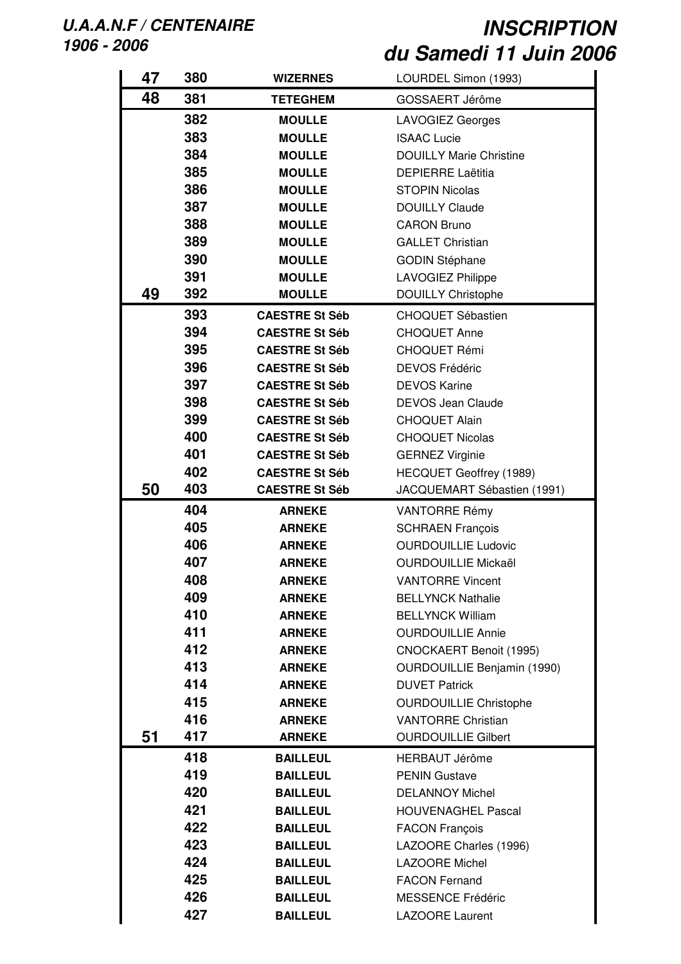| 47 | 380 | <b>WIZERNES</b>       | LOURDEL Simon (1993)               |
|----|-----|-----------------------|------------------------------------|
| 48 | 381 | <b>TETEGHEM</b>       | GOSSAERT Jérôme                    |
|    | 382 | <b>MOULLE</b>         | <b>LAVOGIEZ Georges</b>            |
|    | 383 | <b>MOULLE</b>         | <b>ISAAC Lucie</b>                 |
|    | 384 | <b>MOULLE</b>         | <b>DOUILLY Marie Christine</b>     |
|    | 385 | <b>MOULLE</b>         | <b>DEPIERRE Laëtitia</b>           |
|    | 386 | <b>MOULLE</b>         | <b>STOPIN Nicolas</b>              |
|    | 387 | <b>MOULLE</b>         | <b>DOUILLY Claude</b>              |
|    | 388 | <b>MOULLE</b>         | <b>CARON Bruno</b>                 |
|    | 389 | <b>MOULLE</b>         | <b>GALLET Christian</b>            |
|    | 390 | <b>MOULLE</b>         | <b>GODIN Stéphane</b>              |
|    | 391 | <b>MOULLE</b>         | <b>LAVOGIEZ Philippe</b>           |
| 49 | 392 | <b>MOULLE</b>         | <b>DOUILLY Christophe</b>          |
|    | 393 | <b>CAESTRE St Séb</b> | <b>CHOQUET Sébastien</b>           |
|    | 394 | <b>CAESTRE St Séb</b> | <b>CHOQUET Anne</b>                |
|    | 395 | <b>CAESTRE St Séb</b> | <b>CHOQUET Rémi</b>                |
|    | 396 | <b>CAESTRE St Séb</b> | <b>DEVOS Frédéric</b>              |
|    | 397 | <b>CAESTRE St Séb</b> | <b>DEVOS Karine</b>                |
|    | 398 | <b>CAESTRE St Séb</b> | <b>DEVOS Jean Claude</b>           |
|    | 399 | <b>CAESTRE St Séb</b> | <b>CHOQUET Alain</b>               |
|    | 400 | <b>CAESTRE St Séb</b> | <b>CHOQUET Nicolas</b>             |
|    | 401 | <b>CAESTRE St Séb</b> | <b>GERNEZ Virginie</b>             |
|    | 402 | <b>CAESTRE St Séb</b> | HECQUET Geoffrey (1989)            |
| 50 | 403 | <b>CAESTRE St Séb</b> | JACQUEMART Sébastien (1991)        |
|    | 404 | <b>ARNEKE</b>         | <b>VANTORRE Rémy</b>               |
|    | 405 | <b>ARNEKE</b>         | <b>SCHRAEN François</b>            |
|    | 406 | <b>ARNEKE</b>         | <b>OURDOUILLIE Ludovic</b>         |
|    | 407 | <b>ARNEKE</b>         | <b>OURDOUILLIE Mickaël</b>         |
|    | 408 | <b>ARNEKE</b>         | <b>VANTORRE Vincent</b>            |
|    | 409 | <b>ARNEKE</b>         | <b>BELLYNCK Nathalie</b>           |
|    | 410 | <b>ARNEKE</b>         | <b>BELLYNCK William</b>            |
|    | 411 | <b>ARNEKE</b>         | <b>OURDOUILLIE Annie</b>           |
|    | 412 | <b>ARNEKE</b>         | CNOCKAERT Benoit (1995)            |
|    | 413 | <b>ARNEKE</b>         | <b>OURDOUILLIE Benjamin (1990)</b> |
|    | 414 | <b>ARNEKE</b>         | <b>DUVET Patrick</b>               |
|    | 415 | <b>ARNEKE</b>         | <b>OURDOUILLIE Christophe</b>      |
|    | 416 | <b>ARNEKE</b>         | <b>VANTORRE Christian</b>          |
| 51 | 417 | <b>ARNEKE</b>         | <b>OURDOUILLIE Gilbert</b>         |
|    | 418 | <b>BAILLEUL</b>       | <b>HERBAUT Jérôme</b>              |
|    | 419 | <b>BAILLEUL</b>       | <b>PENIN Gustave</b>               |
|    | 420 | <b>BAILLEUL</b>       | <b>DELANNOY Michel</b>             |
|    | 421 | <b>BAILLEUL</b>       | <b>HOUVENAGHEL Pascal</b>          |
|    | 422 | <b>BAILLEUL</b>       | <b>FACON François</b>              |
|    | 423 | <b>BAILLEUL</b>       | LAZOORE Charles (1996)             |
|    | 424 | <b>BAILLEUL</b>       | <b>LAZOORE Michel</b>              |
|    | 425 | <b>BAILLEUL</b>       | <b>FACON Fernand</b>               |
|    | 426 | <b>BAILLEUL</b>       | MESSENCE Frédéric                  |
|    | 427 | <b>BAILLEUL</b>       | <b>LAZOORE Laurent</b>             |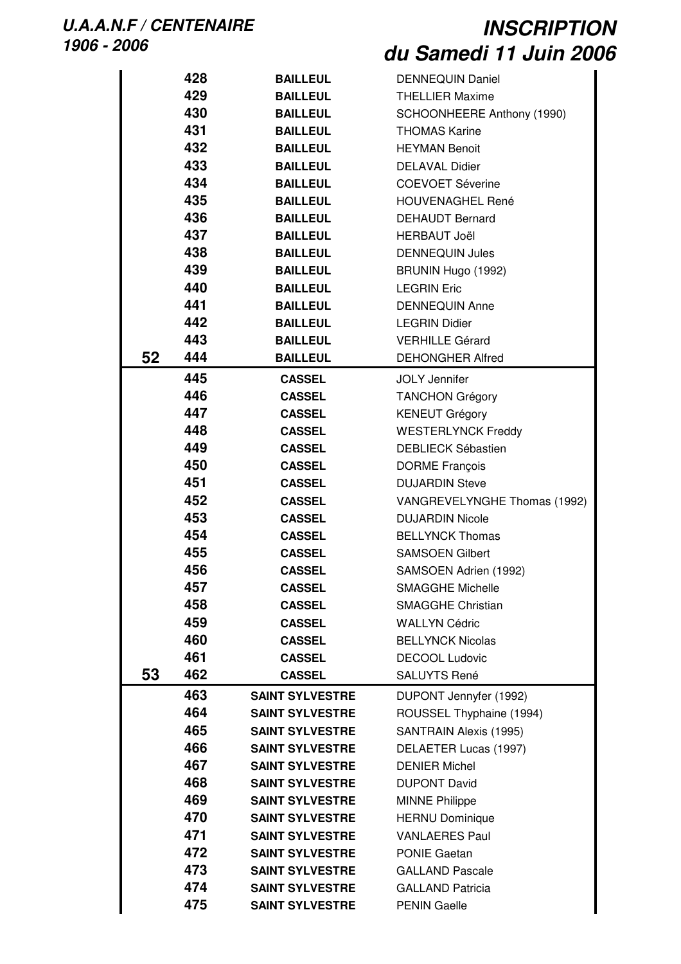|    | 428 | <b>BAILLEUL</b>        | <b>DENNEQUIN Daniel</b>      |
|----|-----|------------------------|------------------------------|
|    | 429 | <b>BAILLEUL</b>        | <b>THELLIER Maxime</b>       |
|    | 430 | <b>BAILLEUL</b>        | SCHOONHEERE Anthony (1990)   |
|    | 431 | <b>BAILLEUL</b>        | <b>THOMAS Karine</b>         |
|    | 432 | <b>BAILLEUL</b>        | <b>HEYMAN Benoit</b>         |
|    | 433 | <b>BAILLEUL</b>        | <b>DELAVAL Didier</b>        |
|    | 434 | <b>BAILLEUL</b>        | <b>COEVOET Séverine</b>      |
|    | 435 | <b>BAILLEUL</b>        | <b>HOUVENAGHEL René</b>      |
|    | 436 | <b>BAILLEUL</b>        | <b>DEHAUDT Bernard</b>       |
|    | 437 | <b>BAILLEUL</b>        | <b>HERBAUT Joël</b>          |
|    | 438 | <b>BAILLEUL</b>        | <b>DENNEQUIN Jules</b>       |
|    | 439 | <b>BAILLEUL</b>        | BRUNIN Hugo (1992)           |
|    | 440 | <b>BAILLEUL</b>        | <b>LEGRIN Eric</b>           |
|    | 441 | <b>BAILLEUL</b>        | <b>DENNEQUIN Anne</b>        |
|    | 442 | <b>BAILLEUL</b>        | <b>LEGRIN Didier</b>         |
|    | 443 | <b>BAILLEUL</b>        | <b>VERHILLE Gérard</b>       |
| 52 | 444 | <b>BAILLEUL</b>        | <b>DEHONGHER Alfred</b>      |
|    | 445 |                        | <b>JOLY Jennifer</b>         |
|    | 446 | <b>CASSEL</b>          |                              |
|    |     | <b>CASSEL</b>          | <b>TANCHON Grégory</b>       |
|    | 447 | <b>CASSEL</b>          | <b>KENEUT Grégory</b>        |
|    | 448 | <b>CASSEL</b>          | <b>WESTERLYNCK Freddy</b>    |
|    | 449 | <b>CASSEL</b>          | <b>DEBLIECK Sébastien</b>    |
|    | 450 | <b>CASSEL</b>          | <b>DORME François</b>        |
|    | 451 | <b>CASSEL</b>          | <b>DUJARDIN Steve</b>        |
|    | 452 | <b>CASSEL</b>          | VANGREVELYNGHE Thomas (1992) |
|    | 453 | <b>CASSEL</b>          | <b>DUJARDIN Nicole</b>       |
|    | 454 | <b>CASSEL</b>          | <b>BELLYNCK Thomas</b>       |
|    | 455 | <b>CASSEL</b>          | <b>SAMSOEN Gilbert</b>       |
|    | 456 | <b>CASSEL</b>          | SAMSOEN Adrien (1992)        |
|    | 457 | <b>CASSEL</b>          | <b>SMAGGHE Michelle</b>      |
|    | 458 | <b>CASSEL</b>          | <b>SMAGGHE Christian</b>     |
|    | 459 | <b>CASSEL</b>          | <b>WALLYN Cédric</b>         |
|    | 460 | <b>CASSEL</b>          | <b>BELLYNCK Nicolas</b>      |
|    | 461 | <b>CASSEL</b>          | <b>DECOOL Ludovic</b>        |
| 53 | 462 | <b>CASSEL</b>          | <b>SALUYTS René</b>          |
|    | 463 | <b>SAINT SYLVESTRE</b> | DUPONT Jennyfer (1992)       |
|    | 464 | <b>SAINT SYLVESTRE</b> | ROUSSEL Thyphaine (1994)     |
|    | 465 | <b>SAINT SYLVESTRE</b> | SANTRAIN Alexis (1995)       |
|    | 466 | <b>SAINT SYLVESTRE</b> | DELAETER Lucas (1997)        |
|    | 467 | <b>SAINT SYLVESTRE</b> | <b>DENIER Michel</b>         |
|    | 468 | <b>SAINT SYLVESTRE</b> | <b>DUPONT David</b>          |
|    | 469 | <b>SAINT SYLVESTRE</b> | <b>MINNE Philippe</b>        |
|    | 470 | <b>SAINT SYLVESTRE</b> | <b>HERNU Dominique</b>       |
|    | 471 | <b>SAINT SYLVESTRE</b> |                              |
|    |     |                        | <b>VANLAERES Paul</b>        |
|    | 472 | <b>SAINT SYLVESTRE</b> | <b>PONIE Gaetan</b>          |
|    | 473 | <b>SAINT SYLVESTRE</b> | <b>GALLAND Pascale</b>       |
|    | 474 | <b>SAINT SYLVESTRE</b> | <b>GALLAND Patricia</b>      |
|    | 475 | <b>SAINT SYLVESTRE</b> | <b>PENIN Gaelle</b>          |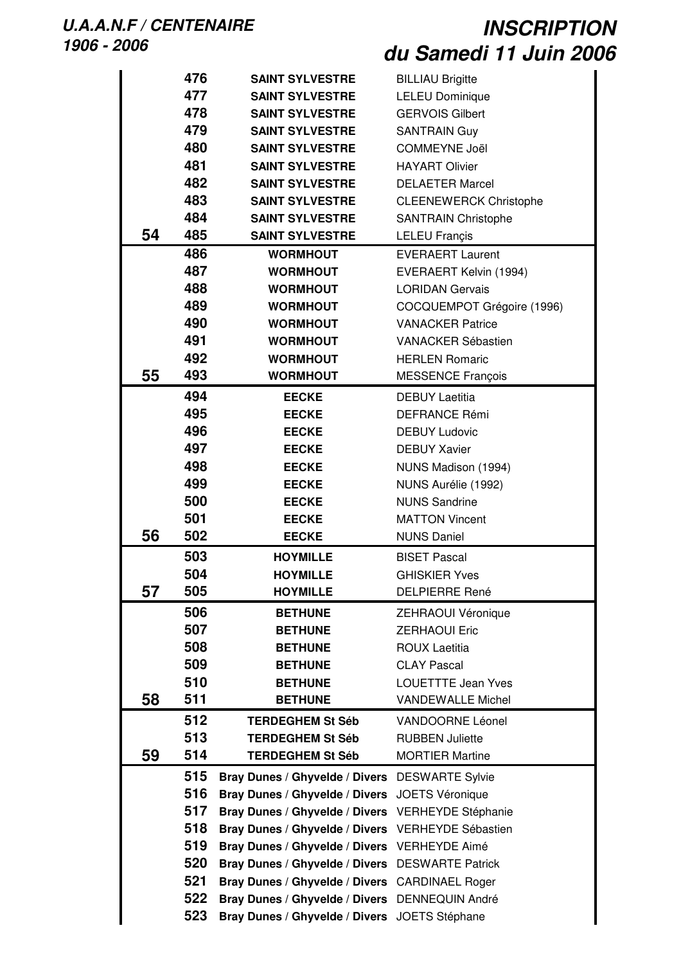|    | 476 | <b>SAINT SYLVESTRE</b>                            | <b>BILLIAU Brigitte</b>       |
|----|-----|---------------------------------------------------|-------------------------------|
|    | 477 | <b>SAINT SYLVESTRE</b>                            | <b>LELEU Dominique</b>        |
|    | 478 | <b>SAINT SYLVESTRE</b>                            | <b>GERVOIS Gilbert</b>        |
|    | 479 | <b>SAINT SYLVESTRE</b>                            | <b>SANTRAIN Guy</b>           |
|    | 480 | <b>SAINT SYLVESTRE</b>                            | <b>COMMEYNE Joël</b>          |
|    | 481 | <b>SAINT SYLVESTRE</b>                            | <b>HAYART Olivier</b>         |
|    | 482 | <b>SAINT SYLVESTRE</b>                            | <b>DELAETER Marcel</b>        |
|    | 483 | <b>SAINT SYLVESTRE</b>                            | <b>CLEENEWERCK Christophe</b> |
|    | 484 | <b>SAINT SYLVESTRE</b>                            | <b>SANTRAIN Christophe</b>    |
| 54 | 485 | <b>SAINT SYLVESTRE</b>                            | <b>LELEU Françis</b>          |
|    | 486 |                                                   |                               |
|    |     | <b>WORMHOUT</b>                                   | <b>EVERAERT Laurent</b>       |
|    | 487 | <b>WORMHOUT</b>                                   | EVERAERT Kelvin (1994)        |
|    | 488 | <b>WORMHOUT</b>                                   | <b>LORIDAN Gervais</b>        |
|    | 489 | <b>WORMHOUT</b>                                   | COCQUEMPOT Grégoire (1996)    |
|    | 490 | <b>WORMHOUT</b>                                   | <b>VANACKER Patrice</b>       |
|    | 491 | <b>WORMHOUT</b>                                   | <b>VANACKER Sébastien</b>     |
|    | 492 | <b>WORMHOUT</b>                                   | <b>HERLEN Romaric</b>         |
| 55 | 493 | <b>WORMHOUT</b>                                   | <b>MESSENCE François</b>      |
|    | 494 | <b>EECKE</b>                                      | <b>DEBUY Laetitia</b>         |
|    | 495 | <b>EECKE</b>                                      | <b>DEFRANCE Rémi</b>          |
|    | 496 | <b>EECKE</b>                                      | <b>DEBUY Ludovic</b>          |
|    | 497 | <b>EECKE</b>                                      | <b>DEBUY Xavier</b>           |
|    | 498 | <b>EECKE</b>                                      | NUNS Madison (1994)           |
|    | 499 | <b>EECKE</b>                                      | NUNS Aurélie (1992)           |
|    | 500 | <b>EECKE</b>                                      | <b>NUNS Sandrine</b>          |
|    | 501 |                                                   |                               |
|    |     | <b>EECKE</b>                                      | <b>MATTON Vincent</b>         |
| 56 | 502 | <b>EECKE</b>                                      | <b>NUNS Daniel</b>            |
|    | 503 | <b>HOYMILLE</b>                                   | <b>BISET Pascal</b>           |
|    | 504 | <b>HOYMILLE</b>                                   | <b>GHISKIER Yves</b>          |
| 57 | 505 | <b>HOYMILLE</b>                                   | <b>DELPIERRE René</b>         |
|    | 506 | <b>BETHUNE</b>                                    | ZEHRAOUI Véronique            |
|    | 507 | <b>BETHUNE</b>                                    | <b>ZERHAOUI Eric</b>          |
|    | 508 | <b>BETHUNE</b>                                    | <b>ROUX Laetitia</b>          |
|    | 509 | <b>BETHUNE</b>                                    | <b>CLAY Pascal</b>            |
|    | 510 | <b>BETHUNE</b>                                    | <b>LOUETTTE Jean Yves</b>     |
| 58 | 511 | <b>BETHUNE</b>                                    | <b>VANDEWALLE Michel</b>      |
|    | 512 | <b>TERDEGHEM St Séb</b>                           | <b>VANDOORNE Léonel</b>       |
|    | 513 | <b>TERDEGHEM St Séb</b>                           | <b>RUBBEN Juliette</b>        |
| 59 | 514 | <b>TERDEGHEM St Séb</b>                           | <b>MORTIER Martine</b>        |
|    |     |                                                   |                               |
|    | 515 | Bray Dunes / Ghyvelde / Divers DESWARTE Sylvie    |                               |
|    | 516 | Bray Dunes / Ghyvelde / Divers JOETS Véronique    |                               |
|    | 517 | Bray Dunes / Ghyvelde / Divers VERHEYDE Stéphanie |                               |
|    | 518 | Bray Dunes / Ghyvelde / Divers VERHEYDE Sébastien |                               |
|    | 519 | Bray Dunes / Ghyvelde / Divers VERHEYDE Aimé      |                               |
|    | 520 | Bray Dunes / Ghyvelde / Divers DESWARTE Patrick   |                               |
|    | 521 | Bray Dunes / Ghyvelde / Divers CARDINAEL Roger    |                               |
|    | 522 | Bray Dunes / Ghyvelde / Divers DENNEQUIN André    |                               |
|    | 523 | Bray Dunes / Ghyvelde / Divers JOETS Stéphane     |                               |
|    |     |                                                   |                               |